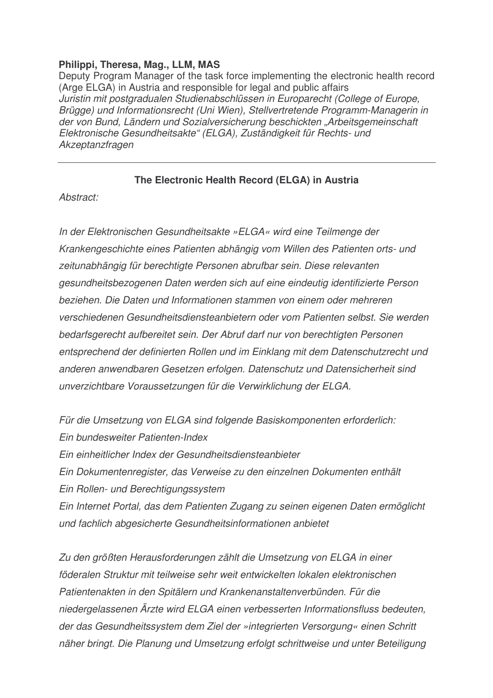## **Philippi, Theresa, Mag., LLM, MAS**

Deputy Program Manager of the task force implementing the electronic health record (Arge ELGA) in Austria and responsible for legal and public affairs *Juristin mit postgradualen Studienabschlüssen in Europarecht (College of Europe, Brügge) und Informationsrecht (Uni Wien), Stellvertretende Programm-Managerin in der von Bund, Ländern und Sozialversicherung beschickten "Arbeitsgemeinschaft Elektronische Gesundheitsakte" (ELGA), Zuständigkeit für Rechts- und Akzeptanzfragen*

## **The Electronic Health Record (ELGA) in Austria**

*Abstract:*

*In der Elektronischen Gesundheitsakte »ELGA« wird eine Teilmenge der Krankengeschichte eines Patienten abhängig vom Willen des Patienten orts- und zeitunabhängig für berechtigte Personen abrufbar sein. Diese relevanten gesundheitsbezogenen Daten werden sich auf eine eindeutig identifizierte Person beziehen. Die Daten und Informationen stammen von einem oder mehreren verschiedenen Gesundheitsdiensteanbietern oder vom Patienten selbst. Sie werden bedarfsgerecht aufbereitet sein. Der Abruf darf nur von berechtigten Personen entsprechend der definierten Rollen und im Einklang mit dem Datenschutzrecht und anderen anwendbaren Gesetzen erfolgen. Datenschutz und Datensicherheit sind unverzichtbare Voraussetzungen für die Verwirklichung der ELGA.*

*Für die Umsetzung von ELGA sind folgende Basiskomponenten erforderlich: Ein bundesweiter Patienten-Index Ein einheitlicher Index der Gesundheitsdiensteanbieter Ein Dokumentenregister, das Verweise zu den einzelnen Dokumenten enthält Ein Rollen- und Berechtigungssystem Ein Internet Portal, das dem Patienten Zugang zu seinen eigenen Daten ermöglicht und fachlich abgesicherte Gesundheitsinformationen anbietet*

*Zu den größten Herausforderungen zählt die Umsetzung von ELGA in einer föderalen Struktur mit teilweise sehr weit entwickelten lokalen elektronischen Patientenakten in den Spitälern und Krankenanstaltenverbünden. Für die niedergelassenen Ärzte wird ELGA einen verbesserten Informationsfluss bedeuten, der das Gesundheitssystem dem Ziel der »integrierten Versorgung« einen Schritt näher bringt. Die Planung und Umsetzung erfolgt schrittweise und unter Beteiligung*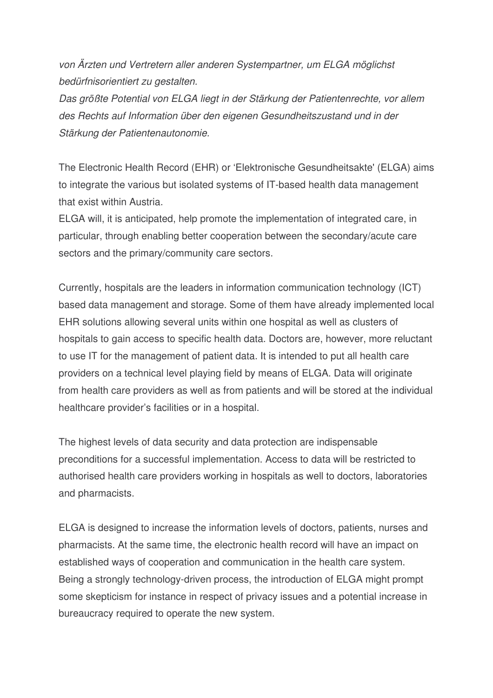*von Ärzten und Vertretern aller anderen Systempartner, um ELGA möglichst bedürfnisorientiert zu gestalten.*

*Das größte Potential von ELGA liegt in der Stärkung der Patientenrechte, vor allem des Rechts auf Information über den eigenen Gesundheitszustand und in der Stärkung der Patientenautonomie.*

The Electronic Health Record (EHR) or 'Elektronische Gesundheitsakte' (ELGA) aims to integrate the various but isolated systems of IT-based health data management that exist within Austria.

ELGA will, it is anticipated, help promote the implementation of integrated care, in particular, through enabling better cooperation between the secondary/acute care sectors and the primary/community care sectors.

Currently, hospitals are the leaders in information communication technology (ICT) based data management and storage. Some of them have already implemented local EHR solutions allowing several units within one hospital as well as clusters of hospitals to gain access to specific health data. Doctors are, however, more reluctant to use IT for the management of patient data. It is intended to put all health care providers on a technical level playing field by means of ELGA. Data will originate from health care providers as well as from patients and will be stored at the individual healthcare provider's facilities or in a hospital.

The highest levels of data security and data protection are indispensable preconditions for a successful implementation. Access to data will be restricted to authorised health care providers working in hospitals as well to doctors, laboratories and pharmacists.

ELGA is designed to increase the information levels of doctors, patients, nurses and pharmacists. At the same time, the electronic health record will have an impact on established ways of cooperation and communication in the health care system. Being a strongly technology-driven process, the introduction of ELGA might prompt some skepticism for instance in respect of privacy issues and a potential increase in bureaucracy required to operate the new system.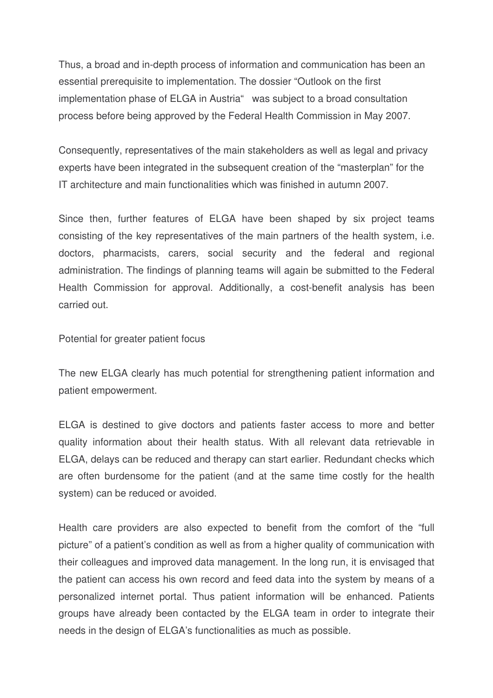Thus, a broad and in-depth process of information and communication has been an essential prerequisite to implementation. The dossier "Outlook on the first implementation phase of ELGA in Austria" was subject to a broad consultation process before being approved by the Federal Health Commission in May 2007.

Consequently, representatives of the main stakeholders as well as legal and privacy experts have been integrated in the subsequent creation of the "masterplan" for the IT architecture and main functionalities which was finished in autumn 2007.

Since then, further features of ELGA have been shaped by six project teams consisting of the key representatives of the main partners of the health system, i.e. doctors, pharmacists, carers, social security and the federal and regional administration. The findings of planning teams will again be submitted to the Federal Health Commission for approval. Additionally, a cost-benefit analysis has been carried out.

Potential for greater patient focus

The new ELGA clearly has much potential for strengthening patient information and patient empowerment.

ELGA is destined to give doctors and patients faster access to more and better quality information about their health status. With all relevant data retrievable in ELGA, delays can be reduced and therapy can start earlier. Redundant checks which are often burdensome for the patient (and at the same time costly for the health system) can be reduced or avoided.

Health care providers are also expected to benefit from the comfort of the "full picture" of a patient's condition as well as from a higher quality of communication with their colleagues and improved data management. In the long run, it is envisaged that the patient can access his own record and feed data into the system by means of a personalized internet portal. Thus patient information will be enhanced. Patients groups have already been contacted by the ELGA team in order to integrate their needs in the design of ELGA's functionalities as much as possible.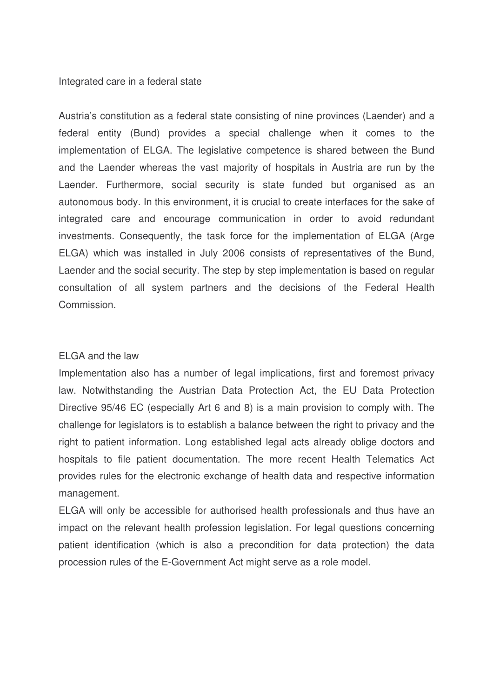#### Integrated care in a federal state

Austria's constitution as a federal state consisting of nine provinces (Laender) and a federal entity (Bund) provides a special challenge when it comes to the implementation of ELGA. The legislative competence is shared between the Bund and the Laender whereas the vast majority of hospitals in Austria are run by the Laender. Furthermore, social security is state funded but organised as an autonomous body. In this environment, it is crucial to create interfaces for the sake of integrated care and encourage communication in order to avoid redundant investments. Consequently, the task force for the implementation of ELGA (Arge ELGA) which was installed in July 2006 consists of representatives of the Bund, Laender and the social security. The step by step implementation is based on regular consultation of all system partners and the decisions of the Federal Health Commission.

### ELGA and the law

Implementation also has a number of legal implications, first and foremost privacy law. Notwithstanding the Austrian Data Protection Act, the EU Data Protection Directive 95/46 EC (especially Art 6 and 8) is a main provision to comply with. The challenge for legislators is to establish a balance between the right to privacy and the right to patient information. Long established legal acts already oblige doctors and hospitals to file patient documentation. The more recent Health Telematics Act provides rules for the electronic exchange of health data and respective information management.

ELGA will only be accessible for authorised health professionals and thus have an impact on the relevant health profession legislation. For legal questions concerning patient identification (which is also a precondition for data protection) the data procession rules of the E-Government Act might serve as a role model.